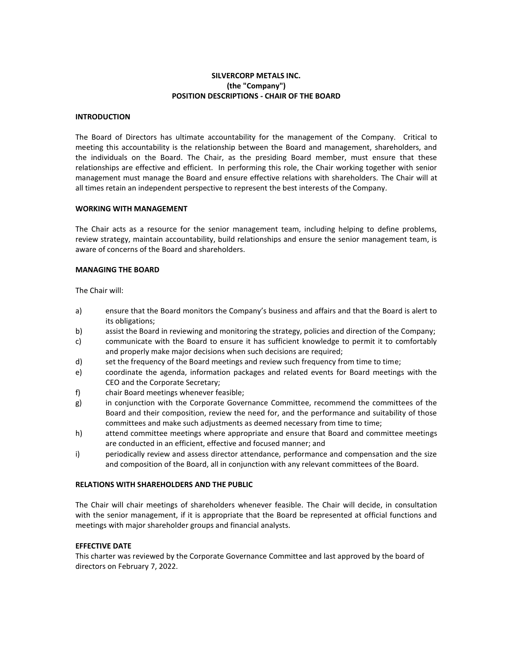# **SILVERCORP METALS INC. (the "Company") POSITION DESCRIPTIONS - CHAIR OF THE BOARD**

### **INTRODUCTION**

The Board of Directors has ultimate accountability for the management of the Company. Critical to meeting this accountability is the relationship between the Board and management, shareholders, and the individuals on the Board. The Chair, as the presiding Board member, must ensure that these relationships are effective and efficient. In performing this role, the Chair working together with senior management must manage the Board and ensure effective relations with shareholders. The Chair will at all times retain an independent perspective to represent the best interests of the Company.

#### **WORKING WITH MANAGEMENT**

The Chair acts as a resource for the senior management team, including helping to define problems, review strategy, maintain accountability, build relationships and ensure the senior management team, is aware of concerns of the Board and shareholders.

#### **MANAGING THE BOARD**

The Chair will:

- a) ensure that the Board monitors the Company's business and affairs and that the Board is alert to its obligations;
- b) assist the Board in reviewing and monitoring the strategy, policies and direction of the Company;
- c) communicate with the Board to ensure it has sufficient knowledge to permit it to comfortably and properly make major decisions when such decisions are required;
- d) set the frequency of the Board meetings and review such frequency from time to time;
- e) coordinate the agenda, information packages and related events for Board meetings with the CEO and the Corporate Secretary;
- f) chair Board meetings whenever feasible;
- g) in conjunction with the Corporate Governance Committee, recommend the committees of the Board and their composition, review the need for, and the performance and suitability of those committees and make such adjustments as deemed necessary from time to time;
- h) attend committee meetings where appropriate and ensure that Board and committee meetings are conducted in an efficient, effective and focused manner; and
- i) periodically review and assess director attendance, performance and compensation and the size and composition of the Board, all in conjunction with any relevant committees of the Board.

### **RELATIONS WITH SHAREHOLDERS AND THE PUBLIC**

The Chair will chair meetings of shareholders whenever feasible. The Chair will decide, in consultation with the senior management, if it is appropriate that the Board be represented at official functions and meetings with major shareholder groups and financial analysts.

### **EFFECTIVE DATE**

This charter was reviewed by the Corporate Governance Committee and last approved by the board of directors on February 7, 2022.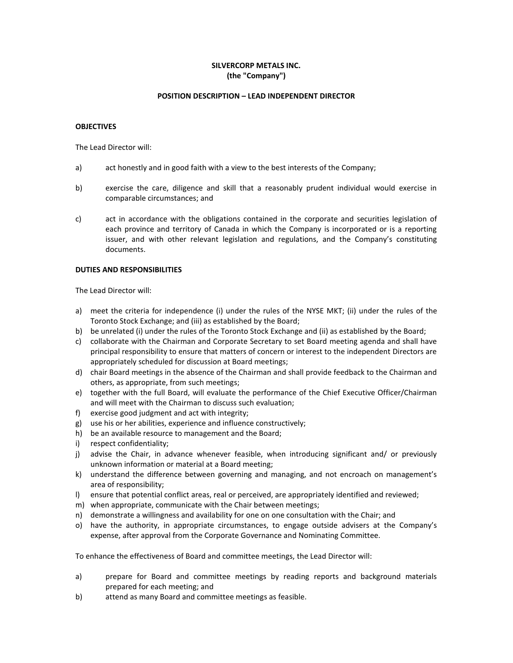# **SILVERCORP METALS INC. (the "Company")**

# **POSITION DESCRIPTION – LEAD INDEPENDENT DIRECTOR**

### **OBJECTIVES**

The Lead Director will:

- a) act honestly and in good faith with a view to the best interests of the Company;
- b) exercise the care, diligence and skill that a reasonably prudent individual would exercise in comparable circumstances; and
- c) act in accordance with the obligations contained in the corporate and securities legislation of each province and territory of Canada in which the Company is incorporated or is a reporting issuer, and with other relevant legislation and regulations, and the Company's constituting documents.

# **DUTIES AND RESPONSIBILITIES**

The Lead Director will:

- a) meet the criteria for independence (i) under the rules of the NYSE MKT; (ii) under the rules of the Toronto Stock Exchange; and (iii) as established by the Board;
- b) be unrelated (i) under the rules of the Toronto Stock Exchange and (ii) as established by the Board;
- c) collaborate with the Chairman and Corporate Secretary to set Board meeting agenda and shall have principal responsibility to ensure that matters of concern or interest to the independent Directors are appropriately scheduled for discussion at Board meetings;
- d) chair Board meetings in the absence of the Chairman and shall provide feedback to the Chairman and others, as appropriate, from such meetings;
- e) together with the full Board, will evaluate the performance of the Chief Executive Officer/Chairman and will meet with the Chairman to discuss such evaluation;
- f) exercise good judgment and act with integrity;
- g) use his or her abilities, experience and influence constructively;
- h) be an available resource to management and the Board;
- i) respect confidentiality;
- j) advise the Chair, in advance whenever feasible, when introducing significant and/ or previously unknown information or material at a Board meeting;
- k) understand the difference between governing and managing, and not encroach on management's area of responsibility;
- l) ensure that potential conflict areas, real or perceived, are appropriately identified and reviewed;
- m) when appropriate, communicate with the Chair between meetings;
- n) demonstrate a willingness and availability for one on one consultation with the Chair; and
- o) have the authority, in appropriate circumstances, to engage outside advisers at the Company's expense, after approval from the Corporate Governance and Nominating Committee.

To enhance the effectiveness of Board and committee meetings, the Lead Director will:

- a) prepare for Board and committee meetings by reading reports and background materials prepared for each meeting; and
- b) attend as many Board and committee meetings as feasible.